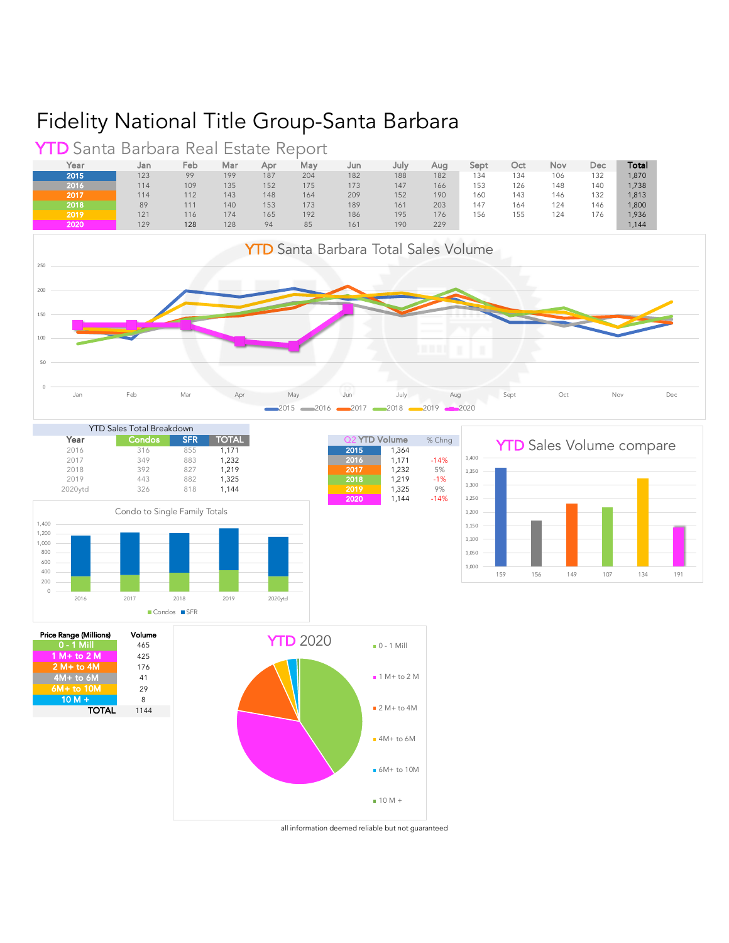## Fidelity National Title Group-Santa Barbara

YTD Santa Barbara Real Estate Report

| Year | Jan | Feb | Mar | Apr | May | Jun | July | Aug | Sept | Oct | Nov | Dec | Total |
|------|-----|-----|-----|-----|-----|-----|------|-----|------|-----|-----|-----|-------|
| 2015 | 123 | 99  | 199 | 187 | 204 | 182 | 188  | 182 | 134  | 134 | 106 | 132 | 1,870 |
| 2016 | 114 | 109 | 135 | 152 | 175 | 173 | 147  | 166 | 153  | 126 | 148 | 140 | 1,738 |
| 2017 | 114 | 112 | 143 | 148 | 164 | 209 | 152  | 190 | 160  | 143 | 146 | 132 | 1,813 |
| 2018 | 89  | 111 | 140 | 153 | 173 | 189 | 161  | 203 | 147  | 164 | 124 | 146 | 1,800 |
| 2019 | 121 | 116 | 174 | 165 | 192 | 186 | 195  | 176 | 156  | 155 | 124 | 176 | 1,936 |
| 2020 | 129 | 128 | 128 | 94  | 85  | 161 | 190  | 229 |      |     |     |     | 1,144 |













all information deemed reliable but not guaranteed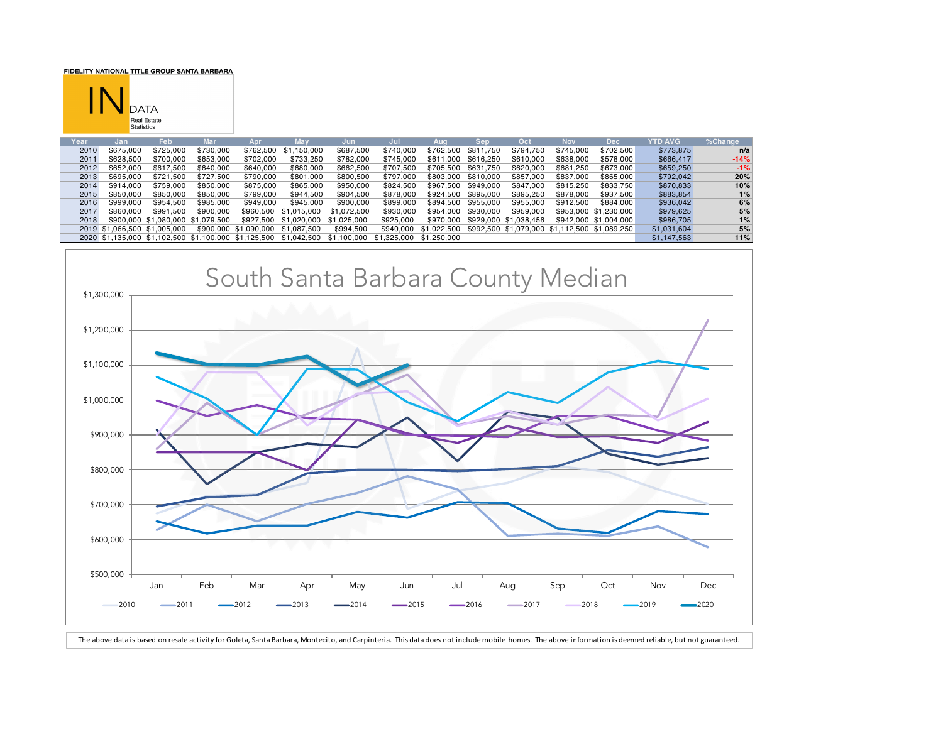FIDELITY NATIONAL TITLE GROUP SANTA BARBARA



| Year | Jan       | Feb                               | Mar       | Apr                                                              | Mav               | Jun         | Jul         | Aug         | Sep       | Oct         | <b>Nov</b> | <b>Dec</b>                                    | YTD AVG     | %Change |
|------|-----------|-----------------------------------|-----------|------------------------------------------------------------------|-------------------|-------------|-------------|-------------|-----------|-------------|------------|-----------------------------------------------|-------------|---------|
| 2010 | \$675,000 | \$725,000                         | \$730,000 | \$762,500                                                        | .150.000<br>- \$1 | \$687,500   | \$740,000   | \$762,500   | \$811,750 | \$794,750   | \$745,000  | \$702,500                                     | \$773,875   | n/a     |
| 2011 | \$628,500 | \$700,000                         | \$653,000 | \$702,000                                                        | \$733,250         | \$782,000   | \$745,000   | \$611,000   | \$616,250 | \$610,000   | \$638,000  | \$578,000                                     | \$666,417   | $-14%$  |
| 2012 | \$652,000 | \$617,500                         | \$640,000 | \$640,000                                                        | \$680,000         | \$662,500   | \$707.500   | \$705.500   | \$631,750 | \$620,000   | \$681,250  | \$673,000                                     | \$659,250   | $-1%$   |
| 2013 | \$695,000 | \$721,500                         | \$727.500 | \$790,000                                                        | \$801,000         | \$800,500   | \$797,000   | \$803,000   | \$810,000 | \$857,000   | \$837,000  | \$865,000                                     | \$792,042   | 20%     |
| 2014 | \$914,000 | \$759,000                         | \$850,000 | \$875,000                                                        | \$865,000         | \$950,000   | \$824.500   | \$967,500   | \$949,000 | \$847,000   | \$815,250  | \$833,750                                     | \$870,833   | 10%     |
| 2015 | \$850,000 | \$850,000                         | \$850,000 | \$799,000                                                        | \$944.500         | \$904,500   | \$878,000   | \$924.500   | \$895,000 | \$895,250   | \$878,000  | \$937,500                                     | \$883,854   | 1%      |
| 2016 | \$999,000 | \$954,500                         | \$985,000 | \$949,000                                                        | \$945,000         | \$900,000   | \$899,000   | \$894,500   | \$955,000 | \$955,000   | \$912,500  | \$884,000                                     | \$936,042   | 6%      |
| 2017 | \$860,000 | \$991,500                         | \$900,000 | \$960.500                                                        | \$1.015.000       | \$1,072,500 | \$930,000   | \$954,000   | \$930,000 | \$959,000   |            | \$953,000 \$1,230,000                         | \$979,625   | 5%      |
| 2018 |           | \$900,000 \$1,080,000 \$1,079,500 |           | \$927.500                                                        | \$1,020,000       | \$1.025.000 | \$925,000   | \$970,000   | \$929,000 | \$1.038.456 |            | \$942,000 \$1,004,000                         | \$986,705   | 1%      |
|      |           | 2019 \$1,066,500 \$1,005,000      |           | \$900,000 \$1,090,000                                            | \$1.087.500       | \$994,500   | \$940,000   | \$1.022.500 |           |             |            | \$992,500 \$1,079,000 \$1,112,500 \$1,089,250 | \$1,031,604 | 5%      |
|      |           |                                   |           | 2020 \$1,135,000 \$1,102,500 \$1,100,000 \$1,125,500 \$1,042,500 |                   | \$1.100.000 | \$1.325.000 | \$1,250,000 |           |             |            |                                               | \$1,147,563 | 11%     |



The above data is based on resale activity for Goleta, Santa Barbara, Montecito, and Carpinteria. This data does not includemobile homes. The above information is deemed reliable, but not guaranteed.